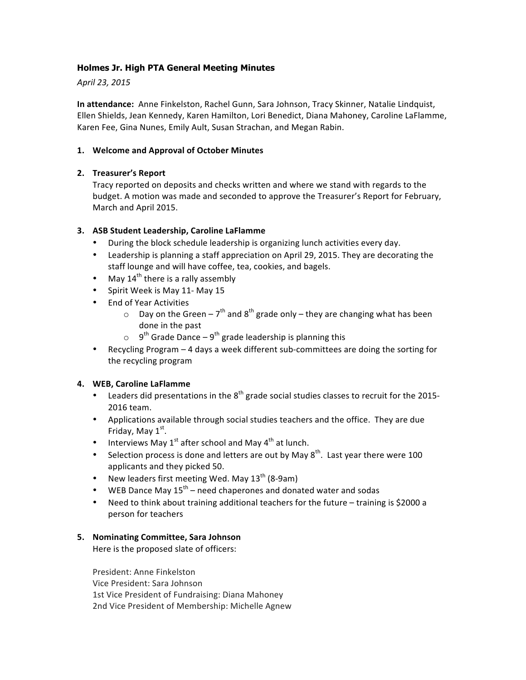# **Holmes Jr. High PTA General Meeting Minutes**

*April 23, 2015*

**In attendance:** Anne Finkelston, Rachel Gunn, Sara Johnson, Tracy Skinner, Natalie Lindquist, Ellen Shields, Jean Kennedy, Karen Hamilton, Lori Benedict, Diana Mahoney, Caroline LaFlamme, Karen Fee, Gina Nunes, Emily Ault, Susan Strachan, and Megan Rabin.

# **1. Welcome and Approval of October Minutes**

# **2. Treasurer's Report**

Tracy reported on deposits and checks written and where we stand with regards to the budget. A motion was made and seconded to approve the Treasurer's Report for February, March and April 2015.

# **3. ASB Student Leadership, Caroline LaFlamme**

- During the block schedule leadership is organizing lunch activities every day.
- Leadership is planning a staff appreciation on April 29, 2015. They are decorating the staff lounge and will have coffee, tea, cookies, and bagels.
- May  $14^{th}$  there is a rally assembly
- Spirit Week is May 11- May 15
- End of Year Activities
	- $\circ$  Day on the Green 7<sup>th</sup> and 8<sup>th</sup> grade only they are changing what has been done in the past
	- $\circ$  9<sup>th</sup> Grade Dance 9<sup>th</sup> grade leadership is planning this
- Recycling Program 4 days a week different sub-committees are doing the sorting for the recycling program

### **4. WEB, Caroline LaFlamme**

- Leaders did presentations in the  $8^{th}$  grade social studies classes to recruit for the 2015-2016 team.
- Applications available through social studies teachers and the office. They are due Friday, May  $1<sup>st</sup>$ .
- Interviews May  $1^{st}$  after school and May  $4^{th}$  at lunch.
- Selection process is done and letters are out by May  $8^{th}$ . Last year there were 100 applicants and they picked 50.
- New leaders first meeting Wed. May  $13^{th}$  (8-9am)
- WEB Dance May  $15^{th}$  need chaperones and donated water and sodas
- Need to think about training additional teachers for the future  $-$  training is \$2000 a person for teachers

### **5. Nominating Committee, Sara Johnson**

Here is the proposed slate of officers:

President: Anne Finkelston Vice President: Sara Johnson 1st Vice President of Fundraising: Diana Mahoney 2nd Vice President of Membership: Michelle Agnew